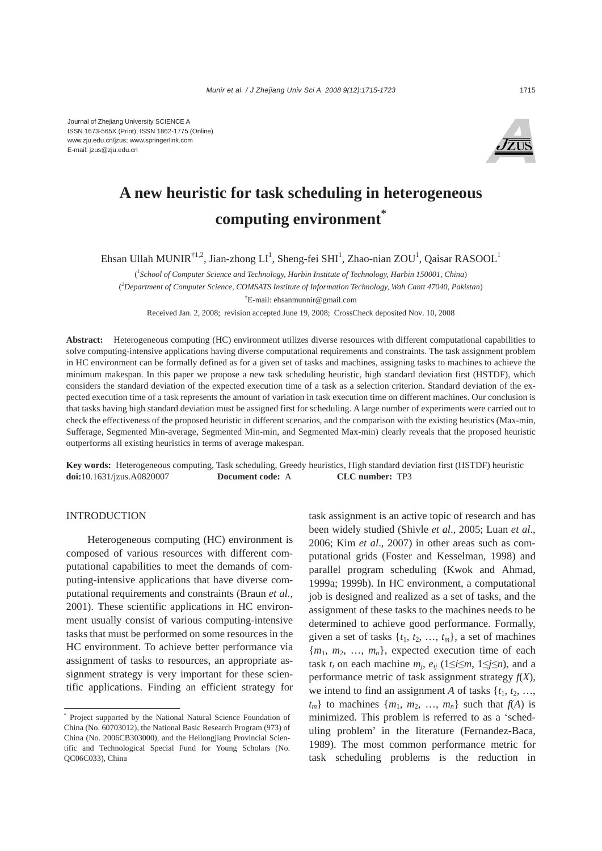

# **A new heuristic for task scheduling in heterogeneous computing environment\***

Ehsan Ullah MUNIR<sup>†1,2</sup>, Jian-zhong LI<sup>1</sup>, Sheng-fei SHI<sup>1</sup>, Zhao-nian ZOU<sup>1</sup>, Qaisar RASOOL<sup>1</sup>

( *1 School of Computer Science and Technology, Harbin Institute of Technology, Harbin 150001, China*) ( *2 Department of Computer Science, COMSATS Institute of Information Technology, Wah Cantt 47040, Pakistan*) † E-mail: ehsanmunnir@gmail.com

Received Jan. 2, 2008; revision accepted June 19, 2008; CrossCheck deposited Nov. 10, 2008

**Abstract:** Heterogeneous computing (HC) environment utilizes diverse resources with different computational capabilities to solve computing-intensive applications having diverse computational requirements and constraints. The task assignment problem in HC environment can be formally defined as for a given set of tasks and machines, assigning tasks to machines to achieve the minimum makespan. In this paper we propose a new task scheduling heuristic, high standard deviation first (HSTDF), which considers the standard deviation of the expected execution time of a task as a selection criterion. Standard deviation of the expected execution time of a task represents the amount of variation in task execution time on different machines. Our conclusion is that tasks having high standard deviation must be assigned first for scheduling. A large number of experiments were carried out to check the effectiveness of the proposed heuristic in different scenarios, and the comparison with the existing heuristics (Max-min, Sufferage, Segmented Min-average, Segmented Min-min, and Segmented Max-min) clearly reveals that the proposed heuristic outperforms all existing heuristics in terms of average makespan.

**Key words:** Heterogeneous computing, Task scheduling, Greedy heuristics, High standard deviation first (HSTDF) heuristic **doi:**10.1631/jzus.A0820007 **Document code:** A **CLC number:** TP3

#### INTRODUCTION

Heterogeneous computing (HC) environment is composed of various resources with different computational capabilities to meet the demands of computing-intensive applications that have diverse computational requirements and constraints (Braun *et al.*, 2001). These scientific applications in HC environment usually consist of various computing-intensive tasks that must be performed on some resources in the HC environment. To achieve better performance via assignment of tasks to resources, an appropriate assignment strategy is very important for these scientific applications. Finding an efficient strategy for task assignment is an active topic of research and has been widely studied (Shivle *et al*., 2005; Luan *et al*., 2006; Kim *et al*., 2007) in other areas such as computational grids (Foster and Kesselman, 1998) and parallel program scheduling (Kwok and Ahmad, 1999a; 1999b). In HC environment, a computational job is designed and realized as a set of tasks, and the assignment of these tasks to the machines needs to be determined to achieve good performance. Formally, given a set of tasks  $\{t_1, t_2, \ldots, t_m\}$ , a set of machines  ${m_1, m_2, ..., m_n}$ , expected execution time of each task  $t_i$  on each machine  $m_j$ ,  $e_{ij}$  (1≤*i*≤ $m$ , 1≤*j*≤ $n$ ), and a performance metric of task assignment strategy *f*(*X*), we intend to find an assignment *A* of tasks  $\{t_1, t_2, \ldots, t_n\}$  $t_m$ } to machines  $\{m_1, m_2, \ldots, m_n\}$  such that  $f(A)$  is minimized. This problem is referred to as a 'scheduling problem' in the literature (Fernandez-Baca, 1989). The most common performance metric for task scheduling problems is the reduction in

<sup>\*</sup> Project supported by the National Natural Science Foundation of China (No. 60703012), the National Basic Research Program (973) of China (No. 2006CB303000), and the Heilongjiang Provincial Scientific and Technological Special Fund for Young Scholars (No. QC06C033), China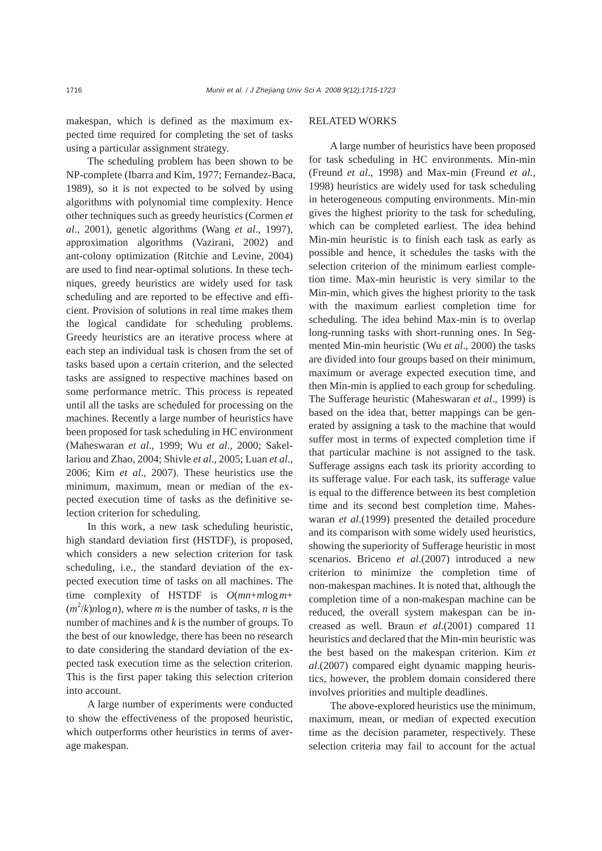makespan, which is defined as the maximum expected time required for completing the set of tasks using a particular assignment strategy.

The scheduling problem has been shown to be NP-complete (Ibarra and Kim, 1977; Fernandez-Baca, 1989), so it is not expected to be solved by using algorithms with polynomial time complexity. Hence other techniques such as greedy heuristics (Cormen *et al*., 2001), genetic algorithms (Wang *et al*., 1997), approximation algorithms (Vazirani, 2002) and ant-colony optimization (Ritchie and Levine, 2004) are used to find near-optimal solutions. In these techniques, greedy heuristics are widely used for task scheduling and are reported to be effective and efficient. Provision of solutions in real time makes them the logical candidate for scheduling problems. Greedy heuristics are an iterative process where at each step an individual task is chosen from the set of tasks based upon a certain criterion, and the selected tasks are assigned to respective machines based on some performance metric. This process is repeated until all the tasks are scheduled for processing on the machines. Recently a large number of heuristics have been proposed for task scheduling in HC environment (Maheswaran *et al*., 1999; Wu *et al*., 2000; Sakellariou and Zhao, 2004; Shivle *et al*., 2005; Luan *et al*., 2006; Kim *et al*., 2007). These heuristics use the minimum, maximum, mean or median of the expected execution time of tasks as the definitive selection criterion for scheduling.

In this work, a new task scheduling heuristic, high standard deviation first (HSTDF), is proposed, which considers a new selection criterion for task scheduling, i.e., the standard deviation of the expected execution time of tasks on all machines. The time complexity of HSTDF is *O*(*mn*+*m*log*m*+  $(m^2/k) n \log n$ , where *m* is the number of tasks, *n* is the number of machines and *k* is the number of groups. To the best of our knowledge, there has been no research to date considering the standard deviation of the expected task execution time as the selection criterion. This is the first paper taking this selection criterion into account.

A large number of experiments were conducted to show the effectiveness of the proposed heuristic, which outperforms other heuristics in terms of average makespan.

## RELATED WORKS

A large number of heuristics have been proposed for task scheduling in HC environments. Min-min (Freund *et al*., 1998) and Max-min (Freund *et al.*, 1998) heuristics are widely used for task scheduling in heterogeneous computing environments. Min-min gives the highest priority to the task for scheduling, which can be completed earliest. The idea behind Min-min heuristic is to finish each task as early as possible and hence, it schedules the tasks with the selection criterion of the minimum earliest completion time. Max-min heuristic is very similar to the Min-min, which gives the highest priority to the task with the maximum earliest completion time for scheduling. The idea behind Max-min is to overlap long-running tasks with short-running ones. In Segmented Min-min heuristic (Wu *et al*., 2000) the tasks are divided into four groups based on their minimum, maximum or average expected execution time, and then Min-min is applied to each group for scheduling. The Sufferage heuristic (Maheswaran *et al*., 1999) is based on the idea that, better mappings can be generated by assigning a task to the machine that would suffer most in terms of expected completion time if that particular machine is not assigned to the task. Sufferage assigns each task its priority according to its sufferage value. For each task, its sufferage value is equal to the difference between its best completion time and its second best completion time. Maheswaran *et al*.(1999) presented the detailed procedure and its comparison with some widely used heuristics, showing the superiority of Sufferage heuristic in most scenarios. Briceno *et al*.(2007) introduced a new criterion to minimize the completion time of non-makespan machines. It is noted that, although the completion time of a non-makespan machine can be reduced, the overall system makespan can be increased as well. Braun *et al.*(2001) compared 11 heuristics and declared that the Min-min heuristic was the best based on the makespan criterion. Kim *et al*.(2007) compared eight dynamic mapping heuristics, however, the problem domain considered there involves priorities and multiple deadlines.

The above-explored heuristics use the minimum, maximum, mean, or median of expected execution time as the decision parameter, respectively. These selection criteria may fail to account for the actual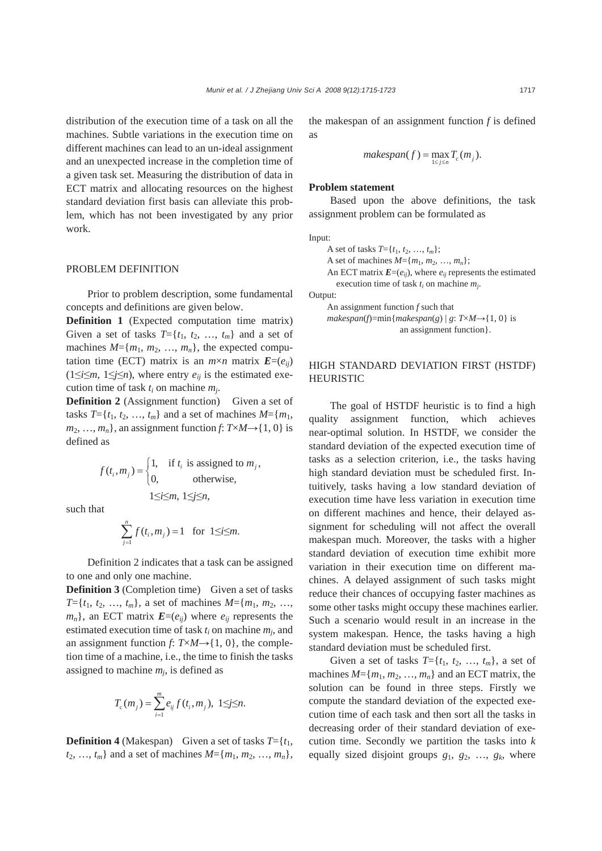distribution of the execution time of a task on all the machines. Subtle variations in the execution time on different machines can lead to an un-ideal assignment and an unexpected increase in the completion time of a given task set. Measuring the distribution of data in ECT matrix and allocating resources on the highest standard deviation first basis can alleviate this problem, which has not been investigated by any prior work.

#### PROBLEM DEFINITION

Prior to problem description, some fundamental concepts and definitions are given below.

**Definition 1** (Expected computation time matrix) Given a set of tasks  $T = \{t_1, t_2, \ldots, t_m\}$  and a set of machines  $M = \{m_1, m_2, ..., m_n\}$ , the expected computation time (ECT) matrix is an  $m \times n$  matrix  $E=(e_{ii})$  $(1 \leq i \leq m, 1 \leq j \leq n)$ , where entry  $e_{ij}$  is the estimated execution time of task *ti* on machine *mj*.

**Definition 2** (Assignment function) Given a set of tasks  $T = \{t_1, t_2, ..., t_m\}$  and a set of machines  $M = \{m_1,$  $m_2, \ldots, m_n$ , an assignment function *f*:  $T \times M \rightarrow \{1, 0\}$  is defined as

$$
f(t_i, m_j) = \begin{cases} 1, & \text{if } t_i \text{ is assigned to } m_j, \\ 0, & \text{otherwise,} \end{cases}
$$
  

$$
1 \le i \le m, 1 \le j \le n,
$$

such that

$$
\sum_{j=1}^n f(t_i, m_j) = 1 \quad \text{for } 1 \le i \le m.
$$

Definition 2 indicates that a task can be assigned to one and only one machine.

**Definition 3** (Completion time) Given a set of tasks  $T=\{t_1, t_2, ..., t_m\}$ , a set of machines  $M=\{m_1, m_2, ..., m_m\}$  $m_n$ }, an ECT matrix  $\mathbf{E}=(e_{ij})$  where  $e_{ij}$  represents the estimated execution time of task *ti* on machine *mj*, and an assignment function *f*:  $T \times M \rightarrow \{1, 0\}$ , the completion time of a machine, i.e., the time to finish the tasks assigned to machine  $m_i$ , is defined as

$$
T_{c}(m_{j}) = \sum_{i=1}^{m} e_{ij} f(t_{i}, m_{j}), \ 1 \leq j \leq n.
$$

**Definition 4** (Makespan) Given a set of tasks  $T = \{t_1,$  $t_2, ..., t_m$  and a set of machines  $M = \{m_1, m_2, ..., m_n\}$ , the makespan of an assignment function *f* is defined as

$$
makespan(f) = \max_{1 \le j \le n} T_c(m_j).
$$

#### **Problem statement**

Based upon the above definitions, the task assignment problem can be formulated as

Input:

A set of tasks  $T = \{t_1, t_2, ..., t_m\};$ A set of machines  $M = \{m_1, m_2, ..., m_n\};$ An ECT matrix  $\mathbf{E}=(e_{ii})$ , where  $e_{ii}$  represents the estimated execution time of task *ti* on machine *mj*.

Output:

An assignment function *f* such that  $makespan(f)=min{makespan(g) | g: T\times M\rightarrow{1, 0}$  is an assignment function}.

# HIGH STANDARD DEVIATION FIRST (HSTDF) HEURISTIC

The goal of HSTDF heuristic is to find a high quality assignment function, which achieves near-optimal solution. In HSTDF, we consider the standard deviation of the expected execution time of tasks as a selection criterion, i.e., the tasks having high standard deviation must be scheduled first. Intuitively, tasks having a low standard deviation of execution time have less variation in execution time on different machines and hence, their delayed assignment for scheduling will not affect the overall makespan much. Moreover, the tasks with a higher standard deviation of execution time exhibit more variation in their execution time on different machines. A delayed assignment of such tasks might reduce their chances of occupying faster machines as some other tasks might occupy these machines earlier. Such a scenario would result in an increase in the system makespan. Hence, the tasks having a high standard deviation must be scheduled first.

Given a set of tasks  $T = \{t_1, t_2, \ldots, t_m\}$ , a set of machines  $M = \{m_1, m_2, ..., m_n\}$  and an ECT matrix, the solution can be found in three steps. Firstly we compute the standard deviation of the expected execution time of each task and then sort all the tasks in decreasing order of their standard deviation of execution time. Secondly we partition the tasks into *k* equally sized disjoint groups *g*1, *g*2, …, *gk*, where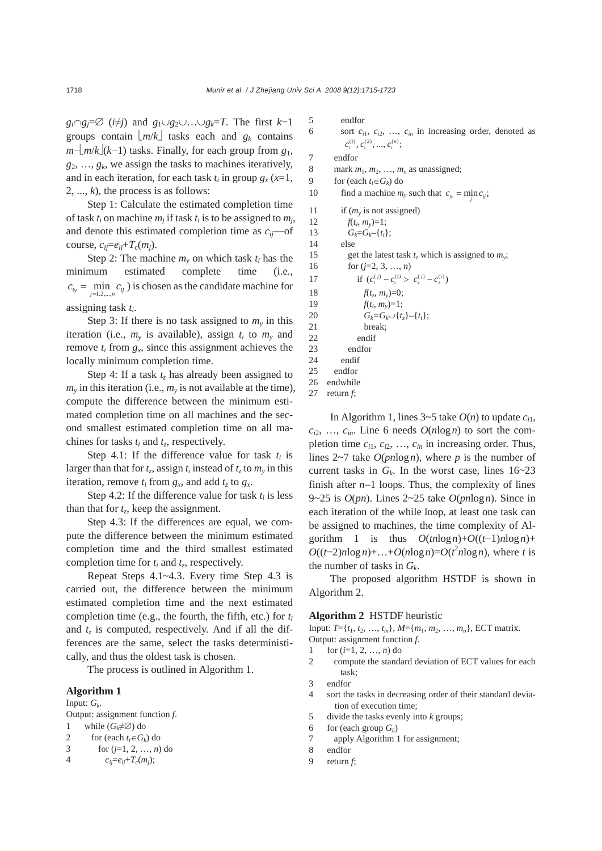*gi*∩*gj*=∅ (*i*≠*j*) and *g*1∪*g*2∪…∪*gk*=*T*. The first *k*−1 groups contain  $\lfloor m/k \rfloor$  tasks each and  $g_k$  contains *m*−⎣*m*/*k*⎦(*k*−1) tasks. Finally, for each group from *g*1,  $g_2, \ldots, g_k$ , we assign the tasks to machines iteratively, and in each iteration, for each task  $t_i$  in group  $g_x$  ( $x=1$ ,  $2, ..., k$ , the process is as follows:

Step 1: Calculate the estimated completion time of task  $t_i$  on machine  $m_i$  if task  $t_i$  is to be assigned to  $m_i$ , and denote this estimated completion time as *cij*—of course,  $c_{ij} = e_{ij} + T_c(m_j)$ .

Step 2: The machine  $m<sub>v</sub>$  on which task  $t<sub>i</sub>$  has the minimum estimated complete time (i.e.,  $c_{i} = \min_{j=1,2,\dots,n} c_{ij}$ ) is chosen as the candidate machine for assigning task *ti*.

Step 3: If there is no task assigned to  $m<sub>v</sub>$  in this iteration (i.e.,  $m_v$  is available), assign  $t_i$  to  $m_v$  and remove  $t_i$  from  $g_x$ , since this assignment achieves the locally minimum completion time.

Step 4: If a task  $t<sub>z</sub>$  has already been assigned to  $m<sub>v</sub>$  in this iteration (i.e.,  $m<sub>v</sub>$  is not available at the time), compute the difference between the minimum estimated completion time on all machines and the second smallest estimated completion time on all machines for tasks *ti* and *tz*, respectively.

Step 4.1: If the difference value for task  $t_i$  is larger than that for  $t_z$ , assign  $t_i$  instead of  $t_z$  to  $m_y$  in this iteration, remove  $t_i$  from  $g_x$ , and add  $t_z$  to  $g_x$ .

Step 4.2: If the difference value for task  $t_i$  is less than that for  $t_z$ , keep the assignment.

Step 4.3: If the differences are equal, we compute the difference between the minimum estimated completion time and the third smallest estimated completion time for  $t_i$  and  $t_z$ , respectively.

Repeat Steps 4.1~4.3. Every time Step 4.3 is carried out, the difference between the minimum estimated completion time and the next estimated completion time (e.g., the fourth, the fifth, etc.) for *ti* and  $t<sub>z</sub>$  is computed, respectively. And if all the differences are the same, select the tasks deterministically, and thus the oldest task is chosen.

The process is outlined in Algorithm 1.

## **Algorithm 1**

Input:  $G_k$ .

Output: assignment function *f*.

- 1 while  $(G_k \neq \emptyset)$  do
- 2 for (each  $t_i \in G_k$ ) do
- 3 for  $(i=1, 2, ..., n)$  do

4  $c_{ij} = e_{ij} + T_c(m_i);$ 

```
5 endfor 
6 sort c_{i1}, c_{i2}, ..., c_{in} in increasing order, denoted as
          c_i^{(1)}, c_i^{(2)}, ..., c_i^{(n)};7 endfor 
8 mark m_1, m_2, ..., m_n as unassigned;
9 for (each t_i \in G_k) do
10 find a machine m_y such that c_{iy} = \min_j c_{ij};
11 if (m_v is not assigned)
12 f(t_i, m_v)=1;13 G_k = G_k - \{t_i\};14 else 
15 get the latest task t_z which is assigned to m_y;
16 for (j=2, 3, …, n) 
17 if (c_i^{(j)} - c_i^{(1)} > c_z^{(j)} - c_z^{(i)})18 f(t_z, m_y)=0;<br>
19 f(t_i, m_y)=1;f(t_i, m_y)=1;20 G_k = G_k \cup \{t_z\} - \{t_i\};<br>21 break;
               break:
22 endif 
23 endfor 
24 endif
```

```
25 endfor 
26 endwhile
```

```
27 return f;
```
In Algorithm 1, lines  $3 \sim 5$  take  $O(n)$  to update  $c_{i1}$ ,  $c_{i2}$ , ...,  $c_{in}$ . Line 6 needs  $O(n \log n)$  to sort the completion time *ci*1, *ci*2, …, *cin* in increasing order. Thus, lines 2~7 take *O*(*pn*log*n*), where *p* is the number of current tasks in  $G_k$ . In the worst case, lines  $16~23$ finish after *n*−1 loops. Thus, the complexity of lines 9~25 is *O*(*pn*). Lines 2~25 take *O*(*pn*log*n*). Since in each iteration of the while loop, at least one task can be assigned to machines, the time complexity of Algorithm 1 is thus  $O(tn\log n)+O((t-1)n\log n)+$  $O((t-2)n\log n) + ... + O(n\log n) = O(t^2 n \log n)$ , where *t* is the number of tasks in *Gk*.

The proposed algorithm HSTDF is shown in Algorithm 2.

#### **Algorithm 2** HSTDF heuristic

Input:  $T = \{t_1, t_2, \ldots, t_m\}, M = \{m_1, m_2, \ldots, m_n\}, \text{ECT matrix.}$ Output: assignment function *f*.

- 1 for (*i*=1, 2, …, *n*) do
- 2 compute the standard deviation of ECT values for each task;
- 3 endfor
- 4 sort the tasks in decreasing order of their standard deviation of execution time;
- 5 divide the tasks evenly into *k* groups;
- 6 for (each group  $G_k$ )
- 7 apply Algorithm 1 for assignment;
- 8 endfor
- 9 return *f*;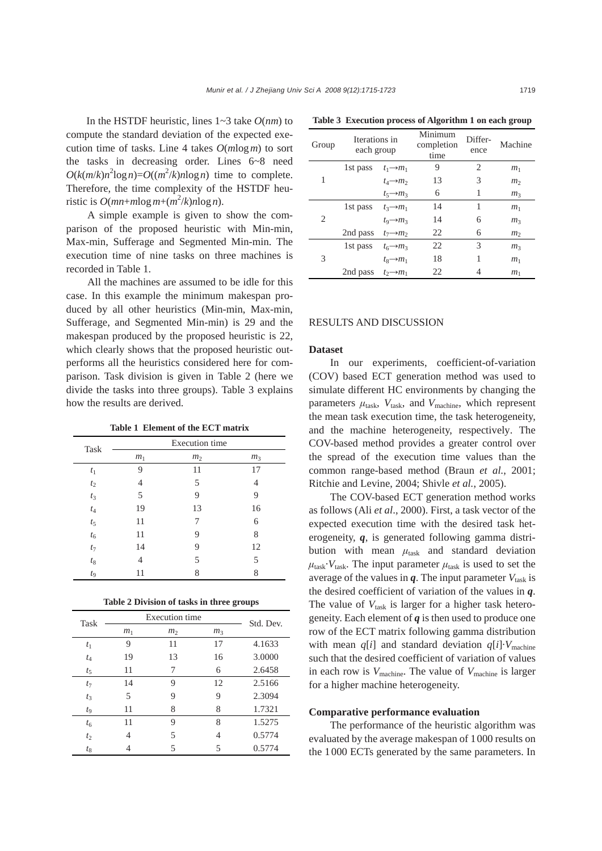In the HSTDF heuristic, lines 1~3 take *O*(*nm*) to compute the standard deviation of the expected execution time of tasks. Line 4 takes *O*(*m*log*m*) to sort the tasks in decreasing order. Lines 6~8 need  $O(k(m/k)n^2 \log n) = O((m^2/k)n \log n)$  time to complete. Therefore, the time complexity of the HSTDF heuristic is  $O(mn+mlog m+(m^2/k)nlog n)$ .

A simple example is given to show the comparison of the proposed heuristic with Min-min, Max-min, Sufferage and Segmented Min-min. The execution time of nine tasks on three machines is recorded in Table 1.

All the machines are assumed to be idle for this case. In this example the minimum makespan produced by all other heuristics (Min-min, Max-min, Sufferage, and Segmented Min-min) is 29 and the makespan produced by the proposed heuristic is 22, which clearly shows that the proposed heuristic outperforms all the heuristics considered here for comparison. Task division is given in Table 2 (here we divide the tasks into three groups). Table 3 explains how the results are derived.

**Table 1 Element of the ECT matrix** 

| Task        |                | <b>Execution</b> time |                |
|-------------|----------------|-----------------------|----------------|
|             | m <sub>1</sub> | m <sub>2</sub>        | m <sub>3</sub> |
| $t_1$       | 9              | 11                    | 17             |
| $t_2$       | 4              | 5                     | 4              |
| $t_3$       | 5              | 9                     | 9              |
| $t_4$       | 19             | 13                    | 16             |
| $t_5$       | 11             | 7                     | 6              |
| $t_{\rm 6}$ | 11             | 9                     | 8              |
| $t_7$       | 14             | 9                     | 12             |
| $t_8$       | 4              | 5                     | 5              |
| $t_{9}$     | 11             | 8                     | 8              |

|  | Table 2 Division of tasks in three groups |  |  |  |  |  |  |
|--|-------------------------------------------|--|--|--|--|--|--|
|--|-------------------------------------------|--|--|--|--|--|--|

| Task        |                | Execution time |                |           |
|-------------|----------------|----------------|----------------|-----------|
|             | m <sub>1</sub> | m <sub>2</sub> | m <sub>3</sub> | Std. Dev. |
| $t_1$       | 9              | 11             | 17             | 4.1633    |
| $t_4$       | 19             | 13             | 16             | 3.0000    |
| $t_{5}$     | 11             | 7              | 6              | 2.6458    |
| $t_{7}$     | 14             | 9              | 12             | 2.5166    |
| $t_3$       | 5              | 9              | 9              | 2.3094    |
| $t_{\rm Q}$ | 11             | 8              | 8              | 1.7321    |
| $t_{6}$     | 11             | 9              | 8              | 1.5275    |
| $t_2$       | 4              | 5              | 4              | 0.5774    |
| $t_8$       |                | 5              | 5              | 0.5774    |

**Table 3 Execution process of Algorithm 1 on each group** 

| Group | Iterations in<br>each group |                       | Minimum<br>completion<br>time | Differ-<br>ence | Machine        |
|-------|-----------------------------|-----------------------|-------------------------------|-----------------|----------------|
|       | 1st pass                    | $t_1 \rightarrow m_1$ | 9                             | 2               | m <sub>1</sub> |
| 1     |                             | $t_4 \rightarrow m_2$ | 13                            | 3               | m <sub>2</sub> |
|       |                             | $t_5 \rightarrow m_3$ | 6                             | 1               | m <sub>3</sub> |
|       | 1st pass                    | $t_3 \rightarrow m_1$ | 14                            | 1               | m <sub>1</sub> |
| 2     |                             | $t_9 \rightarrow m_3$ | 14                            | 6               | m <sub>3</sub> |
|       | 2nd pass                    | $t_7 \rightarrow m_2$ | 22                            | 6               | m <sub>2</sub> |
|       | 1st pass                    | $t_6 \rightarrow m_3$ | 22                            | 3               | m <sub>3</sub> |
| 3     |                             | $t_8 \rightarrow m_1$ | 18                            | 1               | m <sub>1</sub> |
|       | 2nd pass                    | $t_2 \rightarrow m_1$ | 22                            | 4               | m <sub>1</sub> |

## RESULTS AND DISCUSSION

#### **Dataset**

In our experiments, coefficient-of-variation (COV) based ECT generation method was used to simulate different HC environments by changing the parameters  $\mu_{task}$ ,  $V_{task}$ , and  $V_{machine}$ , which represent the mean task execution time, the task heterogeneity, and the machine heterogeneity, respectively. The COV-based method provides a greater control over the spread of the execution time values than the common range-based method (Braun *et al.*, 2001; Ritchie and Levine, 2004; Shivle *et al.*, 2005).

The COV-based ECT generation method works as follows (Ali *et al*., 2000). First, a task vector of the expected execution time with the desired task heterogeneity, *q*, is generated following gamma distribution with mean  $\mu_{\text{task}}$  and standard deviation  $\mu_{\text{task}} \cdot V_{\text{task}}$ . The input parameter  $\mu_{\text{task}}$  is used to set the average of the values in  $q$ . The input parameter  $V_{task}$  is the desired coefficient of variation of the values in *q*. The value of  $V_{task}$  is larger for a higher task heterogeneity. Each element of *q* is then used to produce one row of the ECT matrix following gamma distribution with mean  $q[i]$  and standard deviation  $q[i] \cdot V_{\text{machine}}$ such that the desired coefficient of variation of values in each row is *V*machine. The value of *V*machine is larger for a higher machine heterogeneity.

## **Comparative performance evaluation**

The performance of the heuristic algorithm was evaluated by the average makespan of 1000 results on the 1000 ECTs generated by the same parameters. In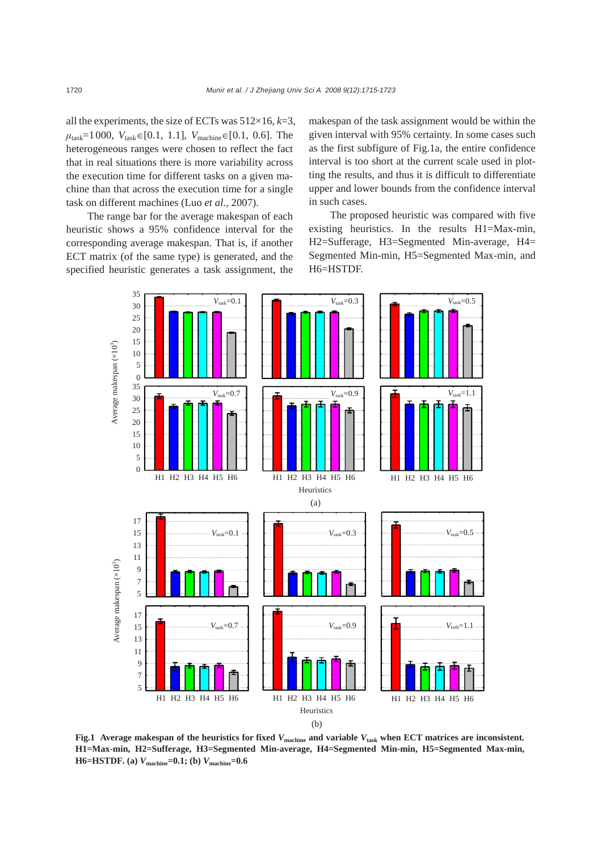all the experiments, the size of ECTs was  $512\times16$ ,  $k=3$ ,  $\mu_{\text{task}}=1000, V_{\text{task}}\in[0.1, 1.1], V_{\text{machine}}\in[0.1, 0.6].$  The heterogeneous ranges were chosen to reflect the fact that in real situations there is more variability across the execution time for different tasks on a given machine than that across the execution time for a single task on different machines (Luo *et al*., 2007).

The range bar for the average makespan of each heuristic shows a 95% confidence interval for the corresponding average makespan. That is, if another ECT matrix (of the same type) is generated, and the specified heuristic generates a task assignment, the makespan of the task assignment would be within the given interval with 95% certainty. In some cases such as the first subfigure of Fig.1a, the entire confidence interval is too short at the current scale used in plotting the results, and thus it is difficult to differentiate upper and lower bounds from the confidence interval in such cases.

The proposed heuristic was compared with five existing heuristics. In the results H1=Max-min, H2=Sufferage, H3=Segmented Min-average, H4= Segmented Min-min, H5=Segmented Max-min, and H6=HSTDF.



**Fig.1 Average makespan of the heuristics for fixed** *V***machine and variable** *V***task when ECT matrices are inconsistent. H1=Max-min, H2=Sufferage, H3=Segmented Min-average, H4=Segmented Min-min, H5=Segmented Max-min, H6=HSTDF. (a)** *V***machine=0.1; (b)** *V***machine=0.6**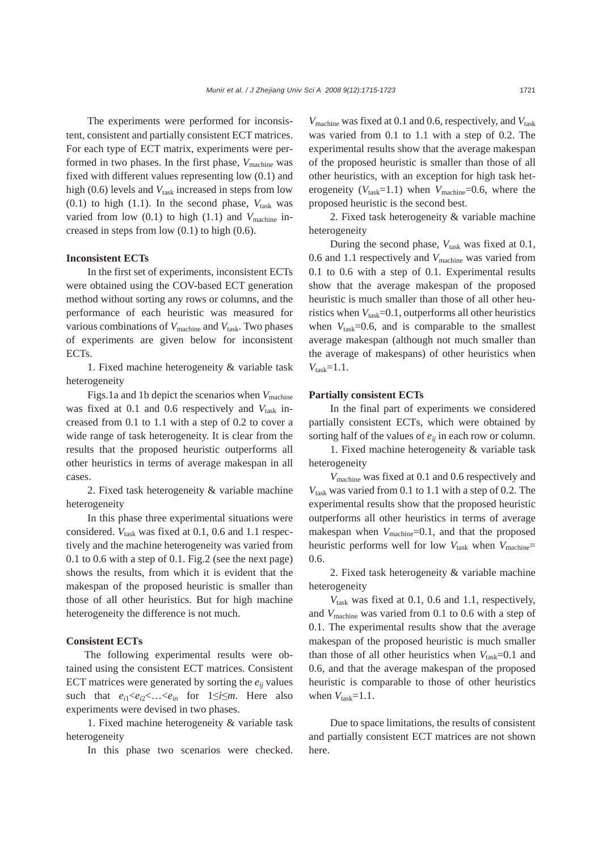The experiments were performed for inconsistent, consistent and partially consistent ECT matrices. For each type of ECT matrix, experiments were performed in two phases. In the first phase,  $V_{\text{machine}}$  was fixed with different values representing low (0.1) and high  $(0.6)$  levels and  $V_{task}$  increased in steps from low  $(0.1)$  to high  $(1.1)$ . In the second phase,  $V_{\text{task}}$  was varied from low  $(0.1)$  to high  $(1.1)$  and  $V_{\text{machine}}$  increased in steps from low (0.1) to high (0.6).

#### **Inconsistent ECTs**

In the first set of experiments, inconsistent ECTs were obtained using the COV-based ECT generation method without sorting any rows or columns, and the performance of each heuristic was measured for various combinations of  $V_{\text{machine}}$  and  $V_{\text{task}}$ . Two phases of experiments are given below for inconsistent ECTs.

1. Fixed machine heterogeneity & variable task heterogeneity

Figs.1a and 1b depict the scenarios when *V*machine was fixed at 0.1 and 0.6 respectively and  $V_{\text{task}}$  increased from 0.1 to 1.1 with a step of 0.2 to cover a wide range of task heterogeneity. It is clear from the results that the proposed heuristic outperforms all other heuristics in terms of average makespan in all cases.

2. Fixed task heterogeneity & variable machine heterogeneity

In this phase three experimental situations were considered.  $V_{task}$  was fixed at 0.1, 0.6 and 1.1 respectively and the machine heterogeneity was varied from 0.1 to 0.6 with a step of 0.1. Fig.2 (see the next page) shows the results, from which it is evident that the makespan of the proposed heuristic is smaller than those of all other heuristics. But for high machine heterogeneity the difference is not much.

## **Consistent ECTs**

The following experimental results were obtained using the consistent ECT matrices. Consistent ECT matrices were generated by sorting the  $e_{ij}$  values such that  $e_{i1} < e_{i2} < \ldots < e_{in}$  for  $1 \le i \le m$ . Here also experiments were devised in two phases.

1. Fixed machine heterogeneity & variable task heterogeneity

In this phase two scenarios were checked.

*V*<sub>machine</sub> was fixed at 0.1 and 0.6, respectively, and *V*<sub>task</sub> was varied from 0.1 to 1.1 with a step of 0.2. The experimental results show that the average makespan of the proposed heuristic is smaller than those of all other heuristics, with an exception for high task heterogeneity  $(V_{task}=1.1)$  when  $V_{machine}=0.6$ , where the proposed heuristic is the second best.

2. Fixed task heterogeneity & variable machine heterogeneity

During the second phase,  $V_{task}$  was fixed at 0.1, 0.6 and 1.1 respectively and *V*machine was varied from 0.1 to 0.6 with a step of 0.1. Experimental results show that the average makespan of the proposed heuristic is much smaller than those of all other heuristics when  $V_{task}=0.1$ , outperforms all other heuristics when  $V_{task}=0.6$ , and is comparable to the smallest average makespan (although not much smaller than the average of makespans) of other heuristics when  $V_{\text{task}}=1.1$ .

## **Partially consistent ECTs**

In the final part of experiments we considered partially consistent ECTs, which were obtained by sorting half of the values of *eij* in each row or column.

1. Fixed machine heterogeneity & variable task heterogeneity

*V*machine was fixed at 0.1 and 0.6 respectively and *V*task was varied from 0.1 to 1.1 with a step of 0.2. The experimental results show that the proposed heuristic outperforms all other heuristics in terms of average makespan when  $V_{\text{machine}}$ =0.1, and that the proposed heuristic performs well for low  $V_{task}$  when  $V_{machine}$ 0.6.

2. Fixed task heterogeneity & variable machine heterogeneity

*V*task was fixed at 0.1, 0.6 and 1.1, respectively, and *V*machine was varied from 0.1 to 0.6 with a step of 0.1. The experimental results show that the average makespan of the proposed heuristic is much smaller than those of all other heuristics when  $V_{\text{task}}=0.1$  and 0.6, and that the average makespan of the proposed heuristic is comparable to those of other heuristics when  $V_{\text{task}}=1.1$ .

Due to space limitations, the results of consistent and partially consistent ECT matrices are not shown here.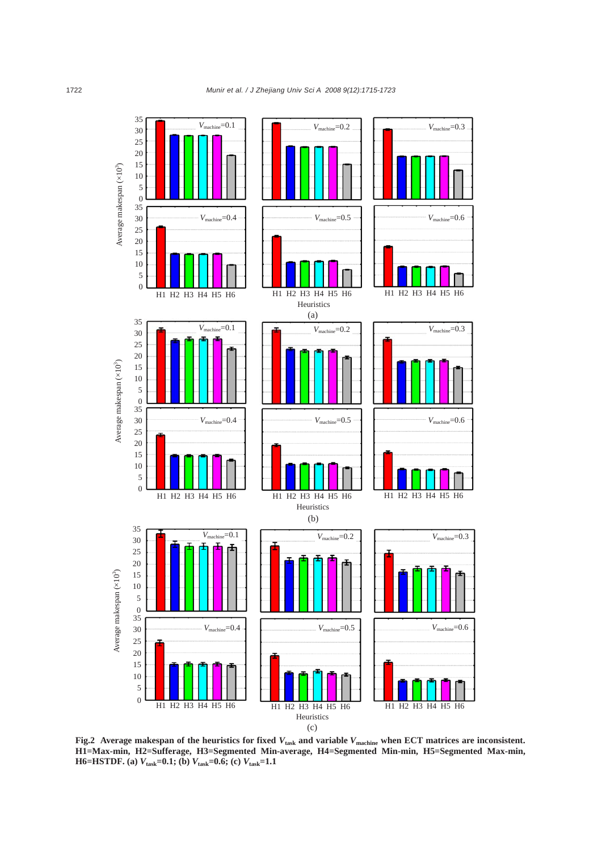

**Fig.2 Average makespan of the heuristics for fixed** *V***task and variable** *V***machine when ECT matrices are inconsistent. H1=Max-min, H2=Sufferage, H3=Segmented Min-average, H4=Segmented Min-min, H5=Segmented Max-min, H6=HSTDF. (a)** *V***task=0.1; (b)** *V***task=0.6; (c)** *V***task=1.1**